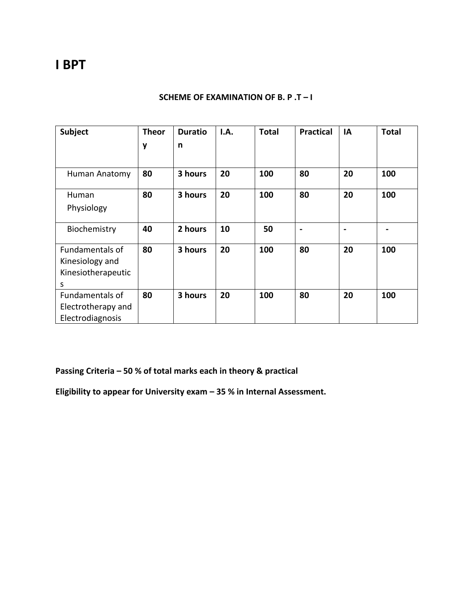# **I BPT**

### **SCHEME OF EXAMINATION OF B. P .T – I**

| Subject                | <b>Theor</b> | <b>Duratio</b> | I.A. | <b>Total</b> | <b>Practical</b> | IA | <b>Total</b> |
|------------------------|--------------|----------------|------|--------------|------------------|----|--------------|
|                        | y            | n              |      |              |                  |    |              |
|                        |              |                |      |              |                  |    |              |
| Human Anatomy          | 80           | 3 hours        | 20   | 100          | 80               | 20 | 100          |
| Human                  | 80           | 3 hours        | 20   | 100          | 80               | 20 | 100          |
| Physiology             |              |                |      |              |                  |    |              |
| Biochemistry           | 40           | 2 hours        | 10   | 50           | $\blacksquare$   |    |              |
| <b>Fundamentals of</b> | 80           | 3 hours        | 20   | 100          | 80               | 20 | 100          |
| Kinesiology and        |              |                |      |              |                  |    |              |
| Kinesiotherapeutic     |              |                |      |              |                  |    |              |
| S                      |              |                |      |              |                  |    |              |
| <b>Fundamentals of</b> | 80           | 3 hours        | 20   | 100          | 80               | 20 | 100          |
| Electrotherapy and     |              |                |      |              |                  |    |              |
| Electrodiagnosis       |              |                |      |              |                  |    |              |

**Passing Criteria – 50 % of total marks each in theory & practical**

**Eligibility to appear for University exam – 35 % in Internal Assessment.**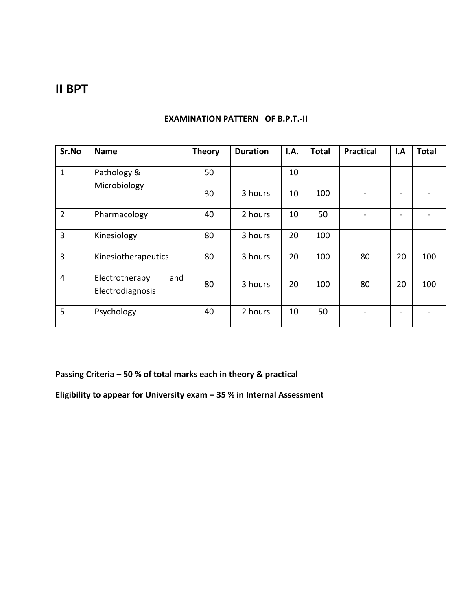## **II BPT**

| Sr.No          | <b>Name</b>                               | <b>Theory</b> | <b>Duration</b> | I.A. | <b>Total</b> | <b>Practical</b> | I.A | <b>Total</b> |
|----------------|-------------------------------------------|---------------|-----------------|------|--------------|------------------|-----|--------------|
| $\mathbf 1$    | Pathology &                               | 50            |                 | 10   |              |                  |     |              |
|                | Microbiology                              | 30            | 3 hours         | 10   | 100          |                  |     |              |
| $\overline{2}$ | Pharmacology                              | 40            | 2 hours         | 10   | 50           |                  |     |              |
| 3              | Kinesiology                               | 80            | 3 hours         | 20   | 100          |                  |     |              |
| 3              | Kinesiotherapeutics                       | 80            | 3 hours         | 20   | 100          | 80               | 20  | 100          |
| 4              | Electrotherapy<br>and<br>Electrodiagnosis | 80            | 3 hours         | 20   | 100          | 80               | 20  | 100          |
| 5              | Psychology                                | 40            | 2 hours         | 10   | 50           |                  |     |              |

### **EXAMINATION PATTERN OF B.P.T.-II**

**Passing Criteria – 50 % of total marks each in theory & practical**

**Eligibility to appear for University exam – 35 % in Internal Assessment**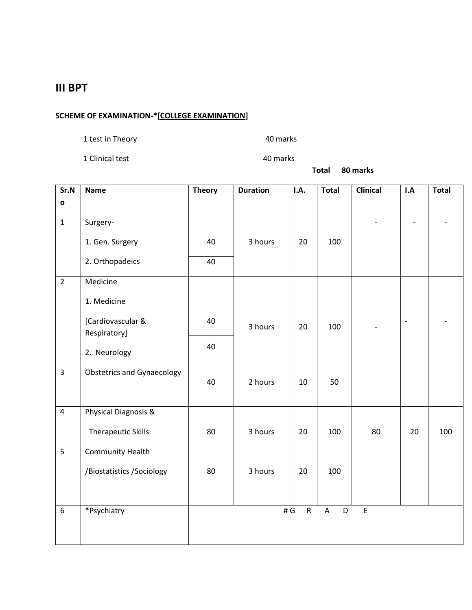### **III BPT**

### **SCHEME OF EXAMINATION-\*[COLLEGE EXAMINATION]**

1 test in Theory 1 and 1 and 1 and 1 and 1 and 1 and 1 and 1 and 1 and 1 and 1 and 1 and 1 and 1 and 1 and 1 a

1 Clinical test 40 marks

**Total 80 marks**

| Sr.N           | <b>Name</b>                       | <b>Theory</b> | <b>Duration</b> | I.A.             | <b>Total</b>     | <b>Clinical</b>                            | I.A | <b>Total</b> |
|----------------|-----------------------------------|---------------|-----------------|------------------|------------------|--------------------------------------------|-----|--------------|
| $\mathbf{o}$   |                                   |               |                 |                  |                  |                                            |     |              |
| $\mathbf{1}$   | Surgery-                          |               |                 |                  |                  | $\frac{1}{2}$                              |     |              |
|                | 1. Gen. Surgery                   | 40            | 3 hours         | 20               | 100              |                                            |     |              |
|                | 2. Orthopadeics                   | 40            |                 |                  |                  |                                            |     |              |
| $\overline{2}$ | Medicine                          |               |                 |                  |                  |                                            |     |              |
|                | 1. Medicine                       |               |                 |                  |                  |                                            |     |              |
|                | [Cardiovascular &<br>Respiratory] | 40            | 3 hours         | 20               | 100              |                                            |     |              |
|                | 2. Neurology                      | 40            |                 |                  |                  |                                            |     |              |
|                |                                   |               |                 |                  |                  |                                            |     |              |
| $\overline{3}$ | <b>Obstetrics and Gynaecology</b> | 40            | 2 hours         | 10               | 50               |                                            |     |              |
| $\overline{4}$ | Physical Diagnosis &              |               |                 |                  |                  |                                            |     |              |
|                | <b>Therapeutic Skills</b>         | 80            | 3 hours         | 20               | 100              | 80                                         | 20  | 100          |
| 5              | <b>Community Health</b>           |               |                 |                  |                  |                                            |     |              |
|                | /Biostatistics /Sociology         | 80            | 3 hours         | 20               | 100              |                                            |     |              |
|                |                                   |               |                 |                  |                  |                                            |     |              |
| 6              | *Psychiatry                       |               |                 | # G<br>${\sf R}$ | $\mathsf A$<br>D | $\mathsf{E}% _{0}\left( \mathsf{E}\right)$ |     |              |
|                |                                   |               |                 |                  |                  |                                            |     |              |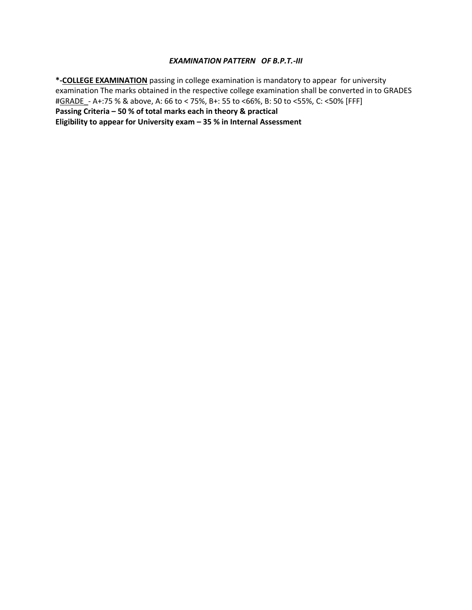#### *EXAMINATION PATTERN OF B.P.T.-III*

**\*-COLLEGE EXAMINATION** passing in college examination is mandatory to appear for university examination The marks obtained in the respective college examination shall be converted in to GRADES #GRADE\_- A+:75 % & above, A: 66 to < 75%, B+: 55 to <66%, B: 50 to <55%, C: <50% [FFF] **Passing Criteria – 50 % of total marks each in theory & practical Eligibility to appear for University exam – 35 % in Internal Assessment**